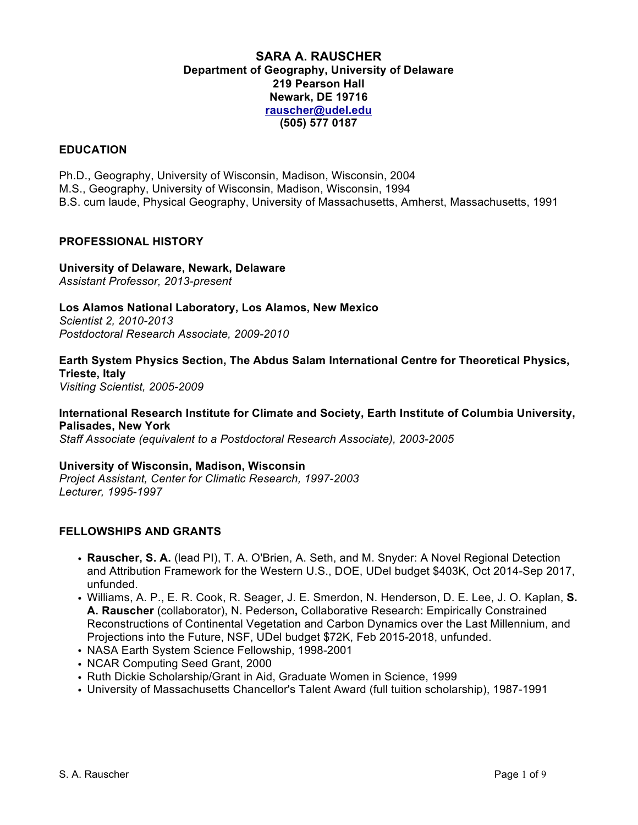## **SARA A. RAUSCHER Department of Geography, University of Delaware 219 Pearson Hall Newark, DE 19716 rauscher@udel.edu (505) 577 0187**

### **EDUCATION**

Ph.D., Geography, University of Wisconsin, Madison, Wisconsin, 2004 M.S., Geography, University of Wisconsin, Madison, Wisconsin, 1994 B.S. cum laude, Physical Geography, University of Massachusetts, Amherst, Massachusetts, 1991

#### **PROFESSIONAL HISTORY**

**University of Delaware, Newark, Delaware** *Assistant Professor, 2013-present*

**Los Alamos National Laboratory, Los Alamos, New Mexico** *Scientist 2, 2010-2013 Postdoctoral Research Associate, 2009-2010*

**Earth System Physics Section, The Abdus Salam International Centre for Theoretical Physics, Trieste, Italy** *Visiting Scientist, 2005-2009*

## **International Research Institute for Climate and Society, Earth Institute of Columbia University, Palisades, New York**

*Staff Associate (equivalent to a Postdoctoral Research Associate), 2003-2005*

**University of Wisconsin, Madison, Wisconsin** *Project Assistant, Center for Climatic Research, 1997-2003 Lecturer, 1995-1997*

#### **FELLOWSHIPS AND GRANTS**

- **Rauscher, S. A.** (lead PI), T. A. O'Brien, A. Seth, and M. Snyder: A Novel Regional Detection and Attribution Framework for the Western U.S., DOE, UDel budget \$403K, Oct 2014-Sep 2017, unfunded.
- Williams, A. P., E. R. Cook, R. Seager, J. E. Smerdon, N. Henderson, D. E. Lee, J. O. Kaplan, **S. A. Rauscher** (collaborator), N. Pederson**,** Collaborative Research: Empirically Constrained Reconstructions of Continental Vegetation and Carbon Dynamics over the Last Millennium, and Projections into the Future, NSF, UDel budget \$72K, Feb 2015-2018, unfunded.
- NASA Earth System Science Fellowship, 1998-2001
- NCAR Computing Seed Grant, 2000
- Ruth Dickie Scholarship/Grant in Aid, Graduate Women in Science, 1999
- University of Massachusetts Chancellor's Talent Award (full tuition scholarship), 1987-1991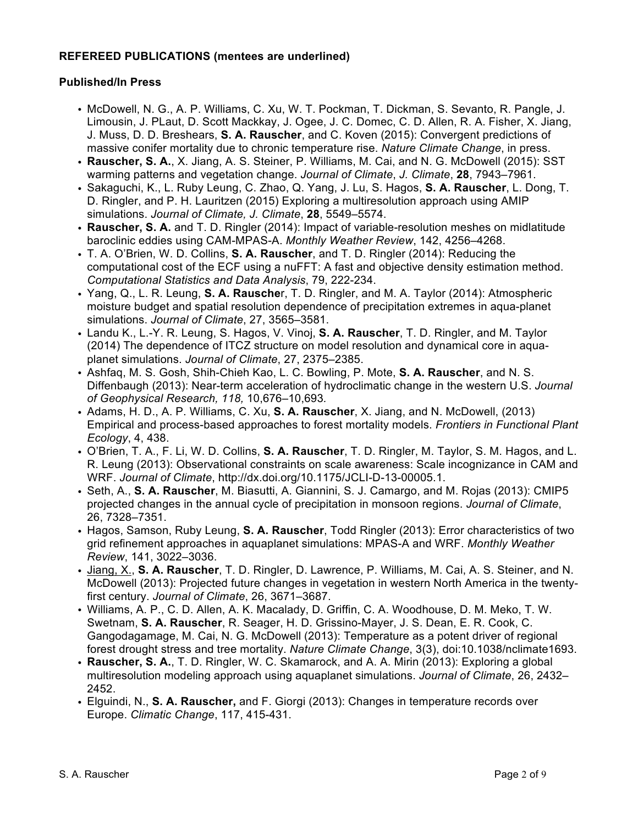# **REFEREED PUBLICATIONS (mentees are underlined)**

### **Published/In Press**

- McDowell, N. G., A. P. Williams, C. Xu, W. T. Pockman, T. Dickman, S. Sevanto, R. Pangle, J. Limousin, J. PLaut, D. Scott Mackkay, J. Ogee, J. C. Domec, C. D. Allen, R. A. Fisher, X. Jiang, J. Muss, D. D. Breshears, **S. A. Rauscher**, and C. Koven (2015): Convergent predictions of massive conifer mortality due to chronic temperature rise. *Nature Climate Change*, in press.
- **Rauscher, S. A.**, X. Jiang, A. S. Steiner, P. Williams, M. Cai, and N. G. McDowell (2015): SST warming patterns and vegetation change. *Journal of Climate*, *J. Climate*, **28**, 7943–7961.
- Sakaguchi, K., L. Ruby Leung, C. Zhao, Q. Yang, J. Lu, S. Hagos, **S. A. Rauscher**, L. Dong, T. D. Ringler, and P. H. Lauritzen (2015) Exploring a multiresolution approach using AMIP simulations. *Journal of Climate, J. Climate*, **28**, 5549–5574.
- **Rauscher, S. A.** and T. D. Ringler (2014): Impact of variable-resolution meshes on midlatitude baroclinic eddies using CAM-MPAS-A. *Monthly Weather Review*, 142, 4256–4268.
- T. A. O'Brien, W. D. Collins, **S. A. Rauscher**, and T. D. Ringler (2014): Reducing the computational cost of the ECF using a nuFFT: A fast and objective density estimation method. *Computational Statistics and Data Analysis*, 79, 222-234.
- Yang, Q., L. R. Leung, **S. A. Rausche**r, T. D. Ringler, and M. A. Taylor (2014): Atmospheric moisture budget and spatial resolution dependence of precipitation extremes in aqua-planet simulations. *Journal of Climate*, 27, 3565–3581.
- Landu K., L.-Y. R. Leung, S. Hagos, V. Vinoj, **S. A. Rauscher**, T. D. Ringler, and M. Taylor (2014) The dependence of ITCZ structure on model resolution and dynamical core in aquaplanet simulations. *Journal of Climate*, 27, 2375–2385.
- *•* Ashfaq, M. S. Gosh, Shih-Chieh Kao, L. C. Bowling, P. Mote, **S. A. Rauscher**, and N. S. Diffenbaugh (2013): Near-term acceleration of hydroclimatic change in the western U.S. *Journal of Geophysical Research, 118,* 10,676–10,693*.*
- Adams, H. D., A. P. Williams, C. Xu, **S. A. Rauscher**, X. Jiang, and N. McDowell, (2013) Empirical and process-based approaches to forest mortality models. *Frontiers in Functional Plant Ecology*, 4, 438.
- O'Brien, T. A., F. Li, W. D. Collins, **S. A. Rauscher**, T. D. Ringler, M. Taylor, S. M. Hagos, and L. R. Leung (2013): Observational constraints on scale awareness: Scale incognizance in CAM and WRF. *Journal of Climate*, http://dx.doi.org/10.1175/JCLI-D-13-00005.1.
- Seth, A., **S. A. Rauscher**, M. Biasutti, A. Giannini, S. J. Camargo, and M. Rojas (2013): CMIP5 projected changes in the annual cycle of precipitation in monsoon regions. *Journal of Climate*, 26, 7328–7351.
- *•* Hagos, Samson, Ruby Leung, **S. A. Rauscher**, Todd Ringler (2013): Error characteristics of two grid refinement approaches in aquaplanet simulations: MPAS-A and WRF. *Monthly Weather Review*, 141, 3022–3036.
- Jiang, X., **S. A. Rauscher**, T. D. Ringler, D. Lawrence, P. Williams, M. Cai, A. S. Steiner, and N. McDowell (2013): Projected future changes in vegetation in western North America in the twentyfirst century. *Journal of Climate*, 26, 3671–3687.
- Williams, A. P., C. D. Allen, A. K. Macalady, D. Griffin, C. A. Woodhouse, D. M. Meko, T. W. Swetnam, **S. A. Rauscher**, R. Seager, H. D. Grissino-Mayer, J. S. Dean, E. R. Cook, C. Gangodagamage, M. Cai, N. G. McDowell (2013): Temperature as a potent driver of regional forest drought stress and tree mortality. *Nature Climate Change*, 3(3), doi:10.1038/nclimate1693.
- **Rauscher, S. A.**, T. D. Ringler, W. C. Skamarock, and A. A. Mirin (2013): Exploring a global multiresolution modeling approach using aquaplanet simulations. *Journal of Climate*, 26, 2432– 2452.
- Elguindi, N., **S. A. Rauscher,** and F. Giorgi (2013): Changes in temperature records over Europe. *Climatic Change*, 117, 415-431.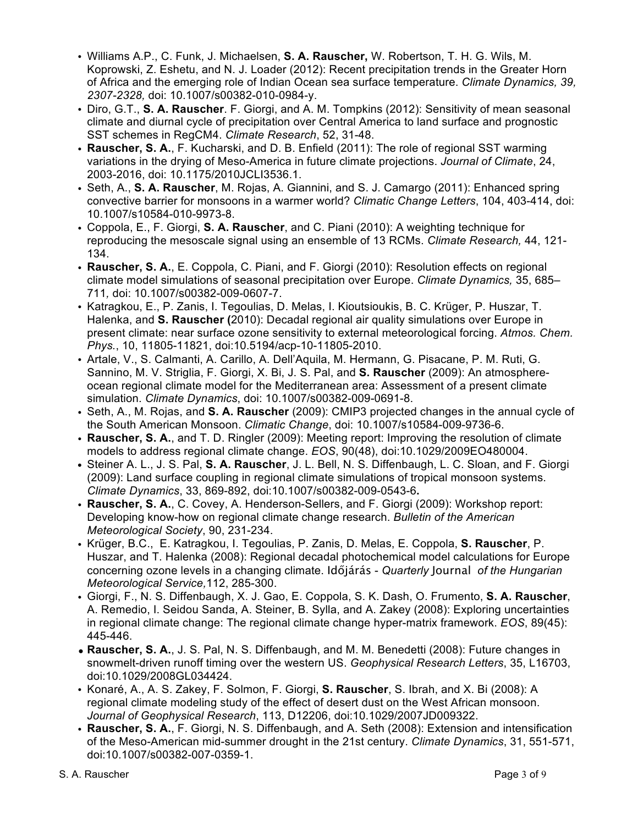- *•* Williams A.P., C. Funk, J. Michaelsen, **S. A. Rauscher,** W. Robertson, T. H. G. Wils, M. Koprowski, Z. Eshetu, and N. J. Loader (2012): Recent precipitation trends in the Greater Horn of Africa and the emerging role of Indian Ocean sea surface temperature. *Climate Dynamics, 39, 2307-2328,* doi: 10.1007/s00382-010-0984-y.
- Diro, G.T., **S. A. Rauscher**. F. Giorgi, and A. M. Tompkins (2012): Sensitivity of mean seasonal climate and diurnal cycle of precipitation over Central America to land surface and prognostic SST schemes in RegCM4. *Climate Research*, 52, 31-48.
- **Rauscher, S. A.**, F. Kucharski, and D. B. Enfield (2011): The role of regional SST warming variations in the drying of Meso-America in future climate projections. *Journal of Climate*, 24, 2003-2016, doi: 10.1175/2010JCLI3536.1.
- Seth, A., **S. A. Rauscher**, M. Rojas, A. Giannini, and S. J. Camargo (2011): Enhanced spring convective barrier for monsoons in a warmer world? *Climatic Change Letters*, 104, 403-414, doi: 10.1007/s10584-010-9973-8.
- *•* Coppola, E., F. Giorgi, **S. A. Rauscher**, and C. Piani (2010): A weighting technique for reproducing the mesoscale signal using an ensemble of 13 RCMs. *Climate Research,* 44, 121- 134.
- **Rauscher, S. A.**, E. Coppola, C. Piani, and F. Giorgi (2010): Resolution effects on regional climate model simulations of seasonal precipitation over Europe. *Climate Dynamics,* 35, 685– 711*,* doi: 10.1007/s00382-009-0607-7.
- Katragkou, E., P. Zanis, I. Tegoulias, D. Melas, I. Kioutsioukis, B. C. Krüger, P. Huszar, T. Halenka, and **S. Rauscher (**2010): Decadal regional air quality simulations over Europe in present climate: near surface ozone sensitivity to external meteorological forcing. *Atmos. Chem. Phys.*, 10, 11805-11821, doi:10.5194/acp-10-11805-2010.
- Artale, V., S. Calmanti, A. Carillo, A. Dell'Aquila, M. Hermann, G. Pisacane, P. M. Ruti, G. Sannino, M. V. Striglia, F. Giorgi, X. Bi, J. S. Pal, and **S. Rauscher** (2009): An atmosphereocean regional climate model for the Mediterranean area: Assessment of a present climate simulation. *Climate Dynamics*, doi: 10.1007/s00382-009-0691-8.
- Seth, A., M. Rojas, and **S. A. Rauscher** (2009): CMIP3 projected changes in the annual cycle of the South American Monsoon. *Climatic Change*, doi: 10.1007/s10584-009-9736-6.
- **Rauscher, S. A.**, and T. D. Ringler (2009): Meeting report: Improving the resolution of climate models to address regional climate change. *EOS*, 90(48), doi:10.1029/2009EO480004.
- **•** Steiner A. L., J. S. Pal, **S. A. Rauscher**, J. L. Bell, N. S. Diffenbaugh, L. C. Sloan, and F. Giorgi (2009): Land surface coupling in regional climate simulations of tropical monsoon systems. *Climate Dynamics*, 33, 869-892, doi:10.1007/s00382-009-0543-6**.**
- **Rauscher, S. A.**, C. Covey, A. Henderson-Sellers, and F. Giorgi (2009): Workshop report: Developing know-how on regional climate change research. *Bulletin of the American Meteorological Society*, 90, 231-234.
- Krüger, B.C., E. Katragkou, I. Tegoulias, P. Zanis, D. Melas, E. Coppola, **S. Rauscher**, P. Huszar, and T. Halenka (2008): Regional decadal photochemical model calculations for Europe concerning ozone levels in a changing climate. Időjárás - *Quarterly* Journal *of the Hungarian Meteorological Service,*112, 285-300.
- Giorgi, F., N. S. Diffenbaugh, X. J. Gao, E. Coppola, S. K. Dash, O. Frumento, **S. A. Rauscher**, A. Remedio, I. Seidou Sanda, A. Steiner, B. Sylla, and A. Zakey (2008): Exploring uncertainties in regional climate change: The regional climate change hyper-matrix framework. *EOS*, 89(45): 445-446.
- **Rauscher, S. A.**, J. S. Pal, N. S. Diffenbaugh, and M. M. Benedetti (2008): Future changes in snowmelt-driven runoff timing over the western US. *Geophysical Research Letters*, 35, L16703, doi:10.1029/2008GL034424.
- Konaré, A., A. S. Zakey, F. Solmon, F. Giorgi, **S. Rauscher**, S. Ibrah, and X. Bi (2008): A regional climate modeling study of the effect of desert dust on the West African monsoon. *Journal of Geophysical Research*, 113, D12206, doi:10.1029/2007JD009322.
- **Rauscher, S. A.**, F. Giorgi, N. S. Diffenbaugh, and A. Seth (2008): Extension and intensification of the Meso-American mid-summer drought in the 21st century. *Climate Dynamics*, 31, 551-571, doi:10.1007/s00382-007-0359-1.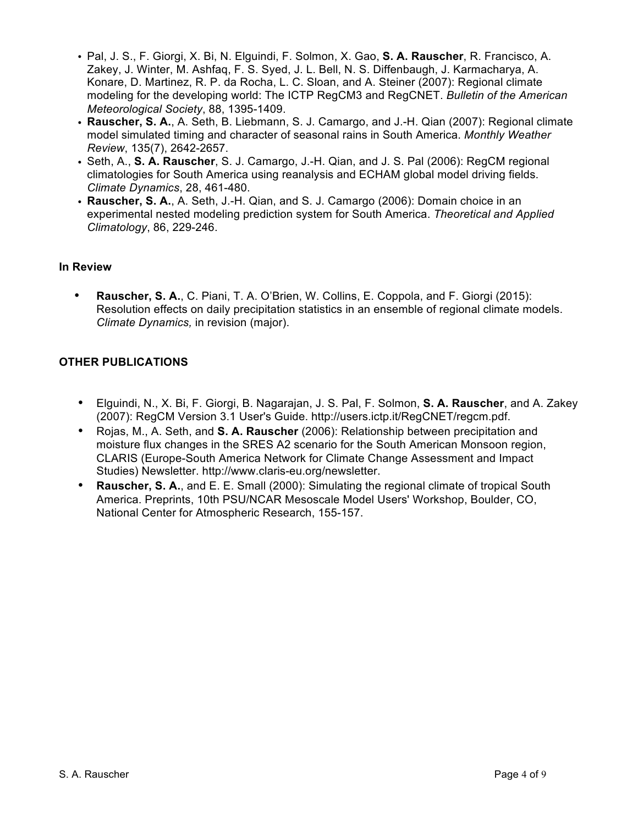- Pal, J. S., F. Giorgi, X. Bi, N. Elguindi, F. Solmon, X. Gao, **S. A. Rauscher**, R. Francisco, A. Zakey, J. Winter, M. Ashfaq, F. S. Syed, J. L. Bell, N. S. Diffenbaugh, J. Karmacharya, A. Konare, D. Martinez, R. P. da Rocha, L. C. Sloan, and A. Steiner (2007): Regional climate modeling for the developing world: The ICTP RegCM3 and RegCNET. *Bulletin of the American Meteorological Society*, 88, 1395-1409.
- **Rauscher, S. A.**, A. Seth, B. Liebmann, S. J. Camargo, and J.-H. Qian (2007): Regional climate model simulated timing and character of seasonal rains in South America. *Monthly Weather Review*, 135(7), 2642-2657.
- Seth, A., **S. A. Rauscher**, S. J. Camargo, J.-H. Qian, and J. S. Pal (2006): RegCM regional climatologies for South America using reanalysis and ECHAM global model driving fields. *Climate Dynamics*, 28, 461-480.
- **Rauscher, S. A.**, A. Seth, J.-H. Qian, and S. J. Camargo (2006): Domain choice in an experimental nested modeling prediction system for South America. *Theoretical and Applied Climatology*, 86, 229-246.

# **In Review**

• **Rauscher, S. A.**, C. Piani, T. A. O'Brien, W. Collins, E. Coppola, and F. Giorgi (2015): Resolution effects on daily precipitation statistics in an ensemble of regional climate models. *Climate Dynamics,* in revision (major).

# **OTHER PUBLICATIONS**

- Elguindi, N., X. Bi, F. Giorgi, B. Nagarajan, J. S. Pal, F. Solmon, **S. A. Rauscher**, and A. Zakey (2007): RegCM Version 3.1 User's Guide. http://users.ictp.it/RegCNET/regcm.pdf.
- Rojas, M., A. Seth, and **S. A. Rauscher** (2006): Relationship between precipitation and moisture flux changes in the SRES A2 scenario for the South American Monsoon region, CLARIS (Europe-South America Network for Climate Change Assessment and Impact Studies) Newsletter. http://www.claris-eu.org/newsletter.
- **Rauscher, S. A.**, and E. E. Small (2000): Simulating the regional climate of tropical South America. Preprints, 10th PSU/NCAR Mesoscale Model Users' Workshop, Boulder, CO, National Center for Atmospheric Research, 155-157.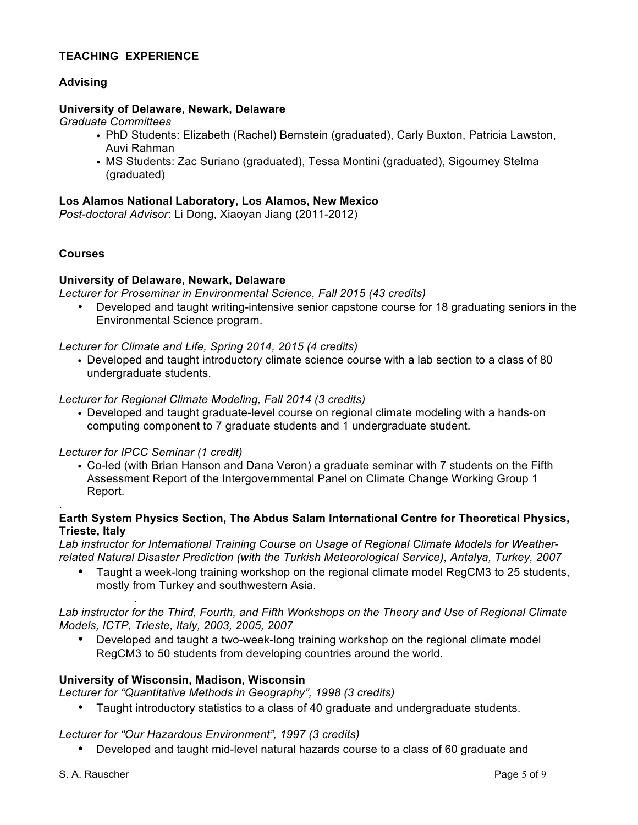# **TEACHING EXPERIENCE**

# **Advising**

### **University of Delaware, Newark, Delaware**

*Graduate Committees*

- PhD Students: Elizabeth (Rachel) Bernstein (graduated), Carly Buxton, Patricia Lawston, Auvi Rahman
- MS Students: Zac Suriano (graduated), Tessa Montini (graduated), Sigourney Stelma (graduated)

#### **Los Alamos National Laboratory, Los Alamos, New Mexico**

*Post-doctoral Advisor*: Li Dong, Xiaoyan Jiang (2011-2012)

#### **Courses**

.

#### **University of Delaware, Newark, Delaware**

*Lecturer for Proseminar in Environmental Science, Fall 2015 (43 credits)*

• Developed and taught writing-intensive senior capstone course for 18 graduating seniors in the Environmental Science program.

#### *Lecturer for Climate and Life, Spring 2014, 2015 (4 credits)*

• Developed and taught introductory climate science course with a lab section to a class of 80 undergraduate students.

#### *Lecturer for Regional Climate Modeling, Fall 2014 (3 credits)*

• Developed and taught graduate-level course on regional climate modeling with a hands-on computing component to 7 graduate students and 1 undergraduate student.

#### *Lecturer for IPCC Seminar (1 credit)*

.

• Co-led (with Brian Hanson and Dana Veron) a graduate seminar with 7 students on the Fifth Assessment Report of the Intergovernmental Panel on Climate Change Working Group 1 Report.

### **Earth System Physics Section, The Abdus Salam International Centre for Theoretical Physics, Trieste, Italy**

*Lab instructor for International Training Course on Usage of Regional Climate Models for Weatherrelated Natural Disaster Prediction (with the Turkish Meteorological Service), Antalya, Turkey, 2007*

• Taught a week-long training workshop on the regional climate model RegCM3 to 25 students, mostly from Turkey and southwestern Asia.

Lab instructor for the Third, Fourth, and Fifth Workshops on the Theory and Use of Regional Climate *Models, ICTP, Trieste, Italy, 2003, 2005, 2007*

• Developed and taught a two-week-long training workshop on the regional climate model RegCM3 to 50 students from developing countries around the world.

#### **University of Wisconsin, Madison, Wisconsin**

*Lecturer for "Quantitative Methods in Geography", 1998 (3 credits)*

• Taught introductory statistics to a class of 40 graduate and undergraduate students.

#### *Lecturer for "Our Hazardous Environment", 1997 (3 credits)*

• Developed and taught mid-level natural hazards course to a class of 60 graduate and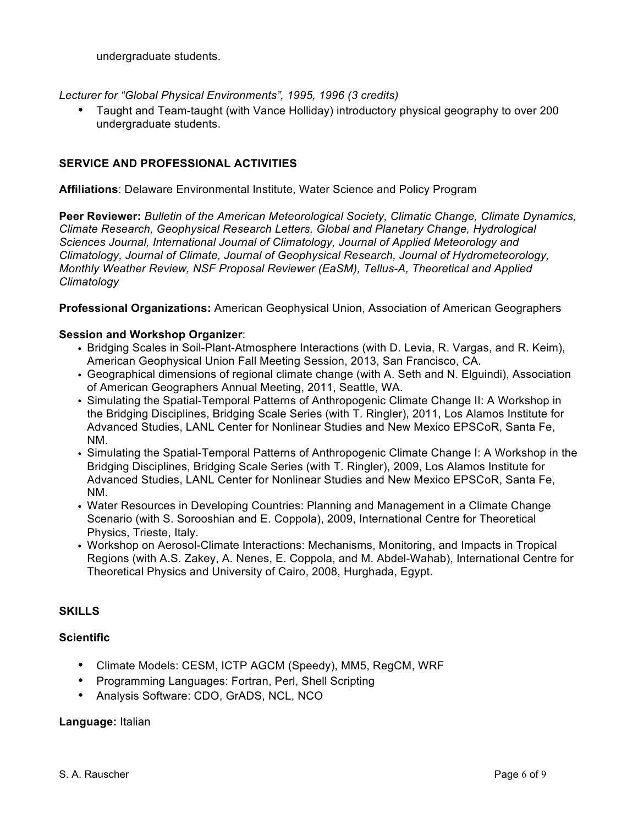undergraduate students.

*Lecturer for "Global Physical Environments", 1995, 1996 (3 credits)*

• Taught and Team-taught (with Vance Holliday) introductory physical geography to over 200 undergraduate students.

# **SERVICE AND PROFESSIONAL ACTIVITIES**

**Affiliations**: Delaware Environmental Institute, Water Science and Policy Program

**Peer Reviewer:** *Bulletin of the American Meteorological Society, Climatic Change, Climate Dynamics, Climate Research, Geophysical Research Letters, Global and Planetary Change, Hydrological Sciences Journal, International Journal of Climatology, Journal of Applied Meteorology and Climatology, Journal of Climate, Journal of Geophysical Research, Journal of Hydrometeorology, Monthly Weather Review, NSF Proposal Reviewer (EaSM), Tellus-A, Theoretical and Applied Climatology*

**Professional Organizations:** American Geophysical Union, Association of American Geographers

### **Session and Workshop Organizer**:

- Bridging Scales in Soil-Plant-Atmosphere Interactions (with D. Levia, R. Vargas, and R. Keim), American Geophysical Union Fall Meeting Session, 2013, San Francisco, CA.
- Geographical dimensions of regional climate change (with A. Seth and N. Elguindi), Association of American Geographers Annual Meeting, 2011, Seattle, WA.
- Simulating the Spatial-Temporal Patterns of Anthropogenic Climate Change II: A Workshop in the Bridging Disciplines, Bridging Scale Series (with T. Ringler), 2011, Los Alamos Institute for Advanced Studies, LANL Center for Nonlinear Studies and New Mexico EPSCoR, Santa Fe, NM.
- Simulating the Spatial-Temporal Patterns of Anthropogenic Climate Change I: A Workshop in the Bridging Disciplines, Bridging Scale Series (with T. Ringler), 2009, Los Alamos Institute for Advanced Studies, LANL Center for Nonlinear Studies and New Mexico EPSCoR, Santa Fe, NM.
- Water Resources in Developing Countries: Planning and Management in a Climate Change Scenario (with S. Sorooshian and E. Coppola), 2009, International Centre for Theoretical Physics, Trieste, Italy.
- Workshop on Aerosol-Climate Interactions: Mechanisms, Monitoring, and Impacts in Tropical Regions (with A.S. Zakey, A. Nenes, E. Coppola, and M. Abdel-Wahab), International Centre for Theoretical Physics and University of Cairo, 2008, Hurghada, Egypt.

# **SKILLS**

### **Scientific**

- Climate Models: CESM, ICTP AGCM (Speedy), MM5, RegCM, WRF
- Programming Languages: Fortran, Perl, Shell Scripting
- Analysis Software: CDO, GrADS, NCL, NCO

#### **Language:** Italian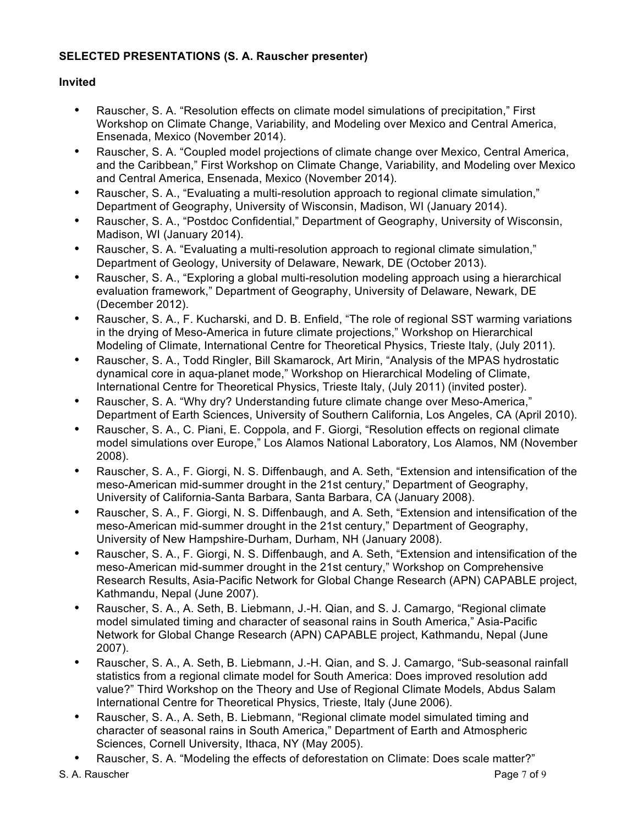# **SELECTED PRESENTATIONS (S. A. Rauscher presenter)**

# **Invited**

- Rauscher, S. A. "Resolution effects on climate model simulations of precipitation," First Workshop on Climate Change, Variability, and Modeling over Mexico and Central America, Ensenada, Mexico (November 2014).
- Rauscher, S. A. "Coupled model projections of climate change over Mexico, Central America, and the Caribbean," First Workshop on Climate Change, Variability, and Modeling over Mexico and Central America, Ensenada, Mexico (November 2014).
- Rauscher, S. A., "Evaluating a multi-resolution approach to regional climate simulation," Department of Geography, University of Wisconsin, Madison, WI (January 2014).
- Rauscher, S. A., "Postdoc Confidential," Department of Geography, University of Wisconsin, Madison, WI (January 2014).
- Rauscher, S. A. "Evaluating a multi-resolution approach to regional climate simulation," Department of Geology, University of Delaware, Newark, DE (October 2013).
- Rauscher, S. A., "Exploring a global multi-resolution modeling approach using a hierarchical evaluation framework," Department of Geography, University of Delaware, Newark, DE (December 2012).
- Rauscher, S. A., F. Kucharski, and D. B. Enfield, "The role of regional SST warming variations in the drying of Meso-America in future climate projections," Workshop on Hierarchical Modeling of Climate, International Centre for Theoretical Physics, Trieste Italy, (July 2011).
- Rauscher, S. A., Todd Ringler, Bill Skamarock, Art Mirin, "Analysis of the MPAS hydrostatic dynamical core in aqua-planet mode," Workshop on Hierarchical Modeling of Climate, International Centre for Theoretical Physics, Trieste Italy, (July 2011) (invited poster).
- Rauscher, S. A. "Why dry? Understanding future climate change over Meso-America," Department of Earth Sciences, University of Southern California, Los Angeles, CA (April 2010).
- Rauscher, S. A., C. Piani, E. Coppola, and F. Giorgi, "Resolution effects on regional climate model simulations over Europe," Los Alamos National Laboratory, Los Alamos, NM (November 2008).
- Rauscher, S. A., F. Giorgi, N. S. Diffenbaugh, and A. Seth, "Extension and intensification of the meso-American mid-summer drought in the 21st century," Department of Geography, University of California-Santa Barbara, Santa Barbara, CA (January 2008).
- Rauscher, S. A., F. Giorgi, N. S. Diffenbaugh, and A. Seth, "Extension and intensification of the meso-American mid-summer drought in the 21st century," Department of Geography, University of New Hampshire-Durham, Durham, NH (January 2008).
- Rauscher, S. A., F. Giorgi, N. S. Diffenbaugh, and A. Seth, "Extension and intensification of the meso-American mid-summer drought in the 21st century," Workshop on Comprehensive Research Results, Asia-Pacific Network for Global Change Research (APN) CAPABLE project, Kathmandu, Nepal (June 2007).
- Rauscher, S. A., A. Seth, B. Liebmann, J.-H. Qian, and S. J. Camargo, "Regional climate model simulated timing and character of seasonal rains in South America," Asia-Pacific Network for Global Change Research (APN) CAPABLE project, Kathmandu, Nepal (June 2007).
- Rauscher, S. A., A. Seth, B. Liebmann, J.-H. Qian, and S. J. Camargo, "Sub-seasonal rainfall statistics from a regional climate model for South America: Does improved resolution add value?" Third Workshop on the Theory and Use of Regional Climate Models, Abdus Salam International Centre for Theoretical Physics, Trieste, Italy (June 2006).
- Rauscher, S. A., A. Seth, B. Liebmann, "Regional climate model simulated timing and character of seasonal rains in South America," Department of Earth and Atmospheric Sciences, Cornell University, Ithaca, NY (May 2005).
- Rauscher, S. A. "Modeling the effects of deforestation on Climate: Does scale matter?"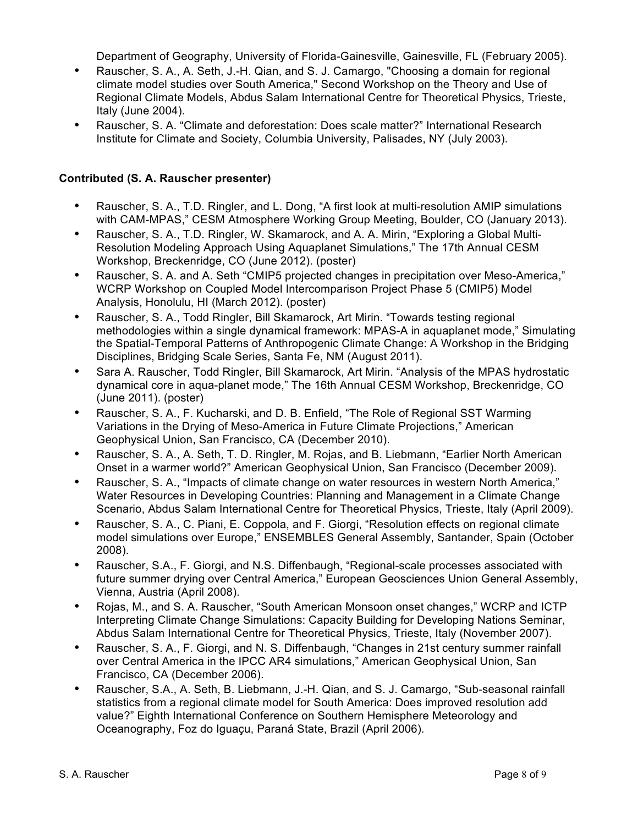Department of Geography, University of Florida-Gainesville, Gainesville, FL (February 2005).

- Rauscher, S. A., A. Seth, J.-H. Qian, and S. J. Camargo, "Choosing a domain for regional climate model studies over South America," Second Workshop on the Theory and Use of Regional Climate Models, Abdus Salam International Centre for Theoretical Physics, Trieste, Italy (June 2004).
- Rauscher, S. A. "Climate and deforestation: Does scale matter?" International Research Institute for Climate and Society, Columbia University, Palisades, NY (July 2003).

# **Contributed (S. A. Rauscher presenter)**

- Rauscher, S. A., T.D. Ringler, and L. Dong, "A first look at multi-resolution AMIP simulations with CAM-MPAS," CESM Atmosphere Working Group Meeting, Boulder, CO (January 2013).
- Rauscher, S. A., T.D. Ringler, W. Skamarock, and A. A. Mirin, "Exploring a Global Multi-Resolution Modeling Approach Using Aquaplanet Simulations," The 17th Annual CESM Workshop, Breckenridge, CO (June 2012). (poster)
- Rauscher, S. A. and A. Seth "CMIP5 projected changes in precipitation over Meso-America," WCRP Workshop on Coupled Model Intercomparison Project Phase 5 (CMIP5) Model Analysis, Honolulu, HI (March 2012). (poster)
- Rauscher, S. A., Todd Ringler, Bill Skamarock, Art Mirin. "Towards testing regional methodologies within a single dynamical framework: MPAS-A in aquaplanet mode," Simulating the Spatial-Temporal Patterns of Anthropogenic Climate Change: A Workshop in the Bridging Disciplines, Bridging Scale Series, Santa Fe, NM (August 2011).
- Sara A. Rauscher, Todd Ringler, Bill Skamarock, Art Mirin. "Analysis of the MPAS hydrostatic dynamical core in aqua-planet mode," The 16th Annual CESM Workshop, Breckenridge, CO (June 2011). (poster)
- Rauscher, S. A., F. Kucharski, and D. B. Enfield, "The Role of Regional SST Warming Variations in the Drying of Meso-America in Future Climate Projections," American Geophysical Union, San Francisco, CA (December 2010).
- Rauscher, S. A., A. Seth, T. D. Ringler, M. Rojas, and B. Liebmann, "Earlier North American Onset in a warmer world?" American Geophysical Union, San Francisco (December 2009).
- Rauscher, S. A., "Impacts of climate change on water resources in western North America," Water Resources in Developing Countries: Planning and Management in a Climate Change Scenario, Abdus Salam International Centre for Theoretical Physics, Trieste, Italy (April 2009).
- Rauscher, S. A., C. Piani, E. Coppola, and F. Giorgi, "Resolution effects on regional climate model simulations over Europe," ENSEMBLES General Assembly, Santander, Spain (October 2008).
- Rauscher, S.A., F. Giorgi, and N.S. Diffenbaugh, "Regional-scale processes associated with future summer drying over Central America," European Geosciences Union General Assembly, Vienna, Austria (April 2008).
- Rojas, M., and S. A. Rauscher, "South American Monsoon onset changes," WCRP and ICTP Interpreting Climate Change Simulations: Capacity Building for Developing Nations Seminar, Abdus Salam International Centre for Theoretical Physics, Trieste, Italy (November 2007).
- Rauscher, S. A., F. Giorgi, and N. S. Diffenbaugh, "Changes in 21st century summer rainfall over Central America in the IPCC AR4 simulations," American Geophysical Union, San Francisco, CA (December 2006).
- Rauscher, S.A., A. Seth, B. Liebmann, J.-H. Qian, and S. J. Camargo, "Sub-seasonal rainfall statistics from a regional climate model for South America: Does improved resolution add value?" Eighth International Conference on Southern Hemisphere Meteorology and Oceanography, Foz do Iguaçu, Paraná State, Brazil (April 2006).